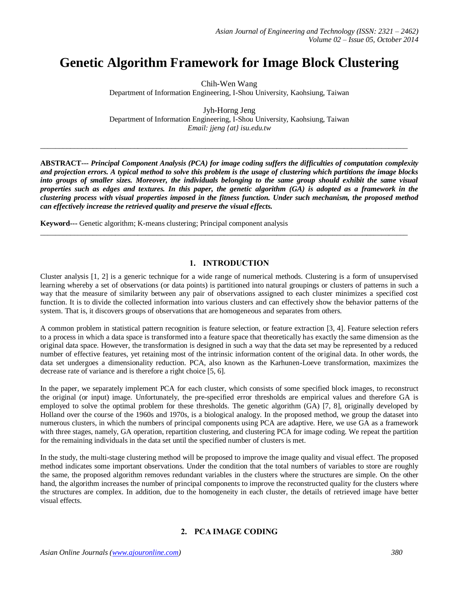# **Genetic Algorithm Framework for Image Block Clustering**

Chih-Wen Wang Department of Information Engineering, I-Shou University, Kaohsiung, Taiwan

Jyh-Horng Jeng Department of Information Engineering, I-Shou University, Kaohsiung, Taiwan *Email: jjeng {at} isu.edu.tw*

 $\_$  ,  $\_$  ,  $\_$  ,  $\_$  ,  $\_$  ,  $\_$  ,  $\_$  ,  $\_$  ,  $\_$  ,  $\_$  ,  $\_$  ,  $\_$  ,  $\_$  ,  $\_$  ,  $\_$  ,  $\_$  ,  $\_$  ,  $\_$  ,  $\_$  ,  $\_$  ,  $\_$  ,  $\_$  ,  $\_$  ,  $\_$  ,  $\_$  ,  $\_$  ,  $\_$  ,  $\_$  ,  $\_$  ,  $\_$  ,  $\_$  ,  $\_$  ,  $\_$  ,  $\_$  ,  $\_$  ,  $\_$  ,  $\_$  ,

**ABSTRACT---** *Principal Component Analysis (PCA) for image coding suffers the difficulties of computation complexity and projection errors. A typical method to solve this problem is the usage of clustering which partitions the image blocks into groups of smaller sizes. Moreover, the individuals belonging to the same group should exhibit the same visual properties such as edges and textures. In this paper, the genetic algorithm (GA) is adopted as a framework in the clustering process with visual properties imposed in the fitness function. Under such mechanism, the proposed method can effectively increase the retrieved quality and preserve the visual effects.*

**Keyword---** Genetic algorithm; K-means clustering; Principal component analysis

## **1. INTRODUCTION**

 $\_$  , and the set of the set of the set of the set of the set of the set of the set of the set of the set of the set of the set of the set of the set of the set of the set of the set of the set of the set of the set of th

Cluster analysis [1, 2] is a generic technique for a wide range of numerical methods. Clustering is a form of unsupervised learning whereby a set of observations (or data points) is partitioned into natural groupings or clusters of patterns in such a way that the measure of similarity between any pair of observations assigned to each cluster minimizes a specified cost function. It is to divide the collected information into various clusters and can effectively show the behavior patterns of the system. That is, it discovers groups of observations that are homogeneous and separates from others.

A common problem in statistical pattern recognition is feature selection, or feature extraction [3, 4]. Feature selection refers to a process in which a data space is transformed into a feature space that theoretically has exactly the same dimension as the original data space. However, the transformation is designed in such a way that the data set may be represented by a reduced number of effective features, yet retaining most of the intrinsic information content of the original data. In other words, the data set undergoes a dimensionality reduction. PCA, also known as the Karhunen-Loeve transformation, maximizes the decrease rate of variance and is therefore a right choice [5, 6].

In the paper, we separately implement PCA for each cluster, which consists of some specified block images, to reconstruct the original (or input) image. Unfortunately, the pre-specified error thresholds are empirical values and therefore GA is employed to solve the optimal problem for these thresholds. The genetic algorithm (GA) [7, 8], originally developed by Holland over the course of the 1960s and 1970s, is a biological analogy. In the proposed method, we group the dataset into numerous clusters, in which the numbers of principal components using PCA are adaptive. Here, we use GA as a framework with three stages, namely, GA operation, repartition clustering, and clustering PCA for image coding. We repeat the partition for the remaining individuals in the data set until the specified number of clusters is met.

In the study, the multi-stage clustering method will be proposed to improve the image quality and visual effect. The proposed method indicates some important observations. Under the condition that the total numbers of variables to store are roughly the same, the proposed algorithm removes redundant variables in the clusters where the structures are simple. On the other hand, the algorithm increases the number of principal components to improve the reconstructed quality for the clusters where the structures are complex. In addition, due to the homogeneity in each cluster, the details of retrieved image have better visual effects.

# **2. PCA IMAGE CODING**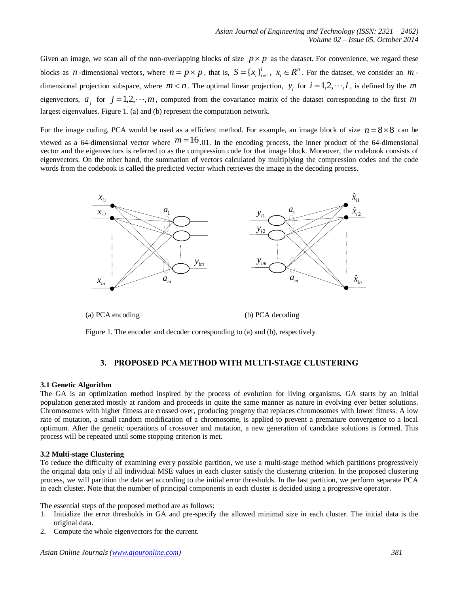Given an image, we scan all of the non-overlapping blocks of size  $p \times p$  as the dataset. For convenience, we regard these blocks as *n*-dimensional vectors, where  $n = p \times p$ , that is,  $S = \{x_i\}_{i=1}^l$ ,  $x_i \in R^n$ . For the dataset, we consider an *m*dimensional projection subspace, where  $m < n$ . The optimal linear projection,  $y_i$  for  $i = 1, 2, \dots, l$ , is defined by the m eigenvectors,  $a_j$  for  $j = 1, 2, \dots, m$ , computed from the covariance matrix of the dataset corresponding to the first m largest eigenvalues. Figure 1. (a) and (b) represent the computation network.

For the image coding, PCA would be used as a efficient method. For example, an image block of size  $n = 8 \times 8$  can be viewed as a 64-dimensional vector where  $m=16,01$ . In the encoding process, the inner product of the 64-dimensional vector and the eigenvectors is referred to as the compression code for that image block. Moreover, the codebook consists of eigenvectors. On the other hand, the summation of vectors calculated by multiplying the compression codes and the code words from the codebook is called the predicted vector which retrieves the image in the decoding process.



(a) PCA encoding (b) PCA decoding

Figure 1. The encoder and decoder corresponding to (a) and (b), respectively

## **3. PROPOSED PCA METHOD WITH MULTI-STAGE CLUSTERING**

#### **3.1 Genetic Algorithm**

The GA is an optimization method inspired by the process of evolution for living organisms. GA starts by an initial population generated mostly at random and proceeds in quite the same manner as nature in evolving ever better solutions. Chromosomes with higher fitness are crossed over, producing progeny that replaces chromosomes with lower fitness. A low rate of mutation, a small random modification of a chromosome, is applied to prevent a premature convergence to a local optimum. After the genetic operations of crossover and mutation, a new generation of candidate solutions is formed. This process will be repeated until some stopping criterion is met.

#### **3.2 Multi-stage Clustering**

To reduce the difficulty of examining every possible partition, we use a multi-stage method which partitions progressively the original data only if all individual MSE values in each cluster satisfy the clustering criterion. In the proposed clustering process, we will partition the data set according to the initial error thresholds. In the last partition, we perform separate PCA in each cluster. Note that the number of principal components in each cluster is decided using a progressive operator.

The essential steps of the proposed method are as follows:

- 1. Initialize the error thresholds in GA and pre-specify the allowed minimal size in each cluster. The initial data is the original data.
- 2. Compute the whole eigenvectors for the current.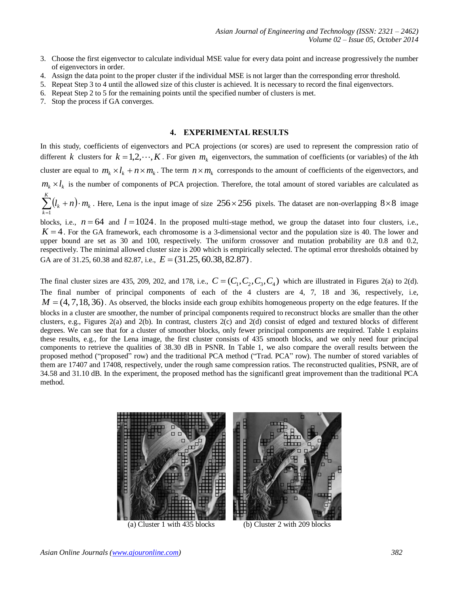- 3. Choose the first eigenvector to calculate individual MSE value for every data point and increase progressively the number of eigenvectors in order.
- 4. Assign the data point to the proper cluster if the individual MSE is not larger than the corresponding error threshold.
- 5. Repeat Step 3 to 4 until the allowed size of this cluster is achieved. It is necessary to record the final eigenvectors.
- 6. Repeat Step 2 to 5 for the remaining points until the specified number of clusters is met.
- 7. Stop the process if GA converges.

#### **4. EXPERIMENTAL RESULTS**

In this study, coefficients of eigenvectors and PCA projections (or scores) are used to represent the compression ratio of different k clusters for  $k = 1, 2, \dots, K$ . For given  $m_k$  eigenvectors, the summation of coefficients (or variables) of the kth cluster are equal to  $m_k \times l_k + n \times m_k$ . The term  $n \times m_k$  corresponds to the amount of coefficients of the eigenvectors, and  $m_k \times l_k$  is the number of components of PCA projection. Therefore, the total amount of stored variables are calculated as  $\sum_{k=1}^{K} (l_k + n)$ 

 $\sum_{k=1}^{n} (l_k + n)$ *k*  $l_k + n) \cdot m_k$ 1 . Here, Lena is the input image of size  $256 \times 256$  pixels. The dataset are non-overlapping  $8 \times 8$  image

blocks, i.e.,  $n = 64$  and  $l = 1024$ . In the proposed multi-stage method, we group the dataset into four clusters, i.e.,  $K = 4$ . For the GA framework, each chromosome is a 3-dimensional vector and the population size is 40. The lower and upper bound are set as 30 and 100, respectively. The uniform crossover and mutation probability are 0.8 and 0.2, respectively. The minimal allowed cluster size is 200 which is empirically selected. The optimal error thresholds obtained by GA are of 31.25, 60.38 and 82.87, i.e.,  $E = (31.25, 60.38, 82.87)$ .

The final cluster sizes are 435, 209, 202, and 178, i.e.,  $C = (C_1, C_2, C_3, C_4)$  which are illustrated in Figures 2(a) to 2(d). The final number of principal components of each of the 4 clusters are 4, 7, 18 and 36, respectively, i.e,  $M = (4, 7, 18, 36)$ . As observed, the blocks inside each group exhibits homogeneous property on the edge features. If the blocks in a cluster are smoother, the number of principal components required to reconstruct blocks are smaller than the other clusters, e.g., Figures 2(a) and 2(b). In contrast, clusters 2(c) and 2(d) consist of edged and textured blocks of different degrees. We can see that for a cluster of smoother blocks, only fewer principal components are required. Table 1 explains these results, e.g., for the Lena image, the first cluster consists of 435 smooth blocks, and we only need four principal components to retrieve the qualities of 38.30 dB in PSNR. In Table 1, we also compare the overall results between the proposed method ("proposed" row) and the traditional PCA method ("Trad. PCA" row). The number of stored variables of them are 17407 and 17408, respectively, under the rough same compression ratios. The reconstructed qualities, PSNR, are of 34.58 and 31.10 dB. In the experiment, the proposed method has the significantl great improvement than the traditional PCA method.